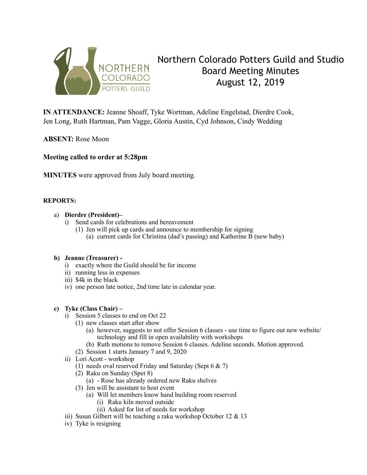

# Northern Colorado Potters Guild and Studio Board Meeting Minutes August 12, 2019

**IN ATTENDANCE:** Jeanne Shoaff, Tyke Wortman, Adeline Engelstad, Dierdre Cook, Jen Long, Ruth Hartman, Pam Vagge, Gloria Austin, Cyd Johnson, Cindy Wedding

**ABSENT:** Rose Moon

**Meeting called to order at 5:28pm** 

**MINUTES** were approved from July board meeting.

## **REPORTS:**

## a) **Dierdre (President)–**

- i) Send cards for celebrations and bereavement
	- (1) Jen will pick up cards and announce to membership for signing
		- (a) current cards for Christina (dad's passing) and Katherine B (new baby)

#### **b) Jeanne (Treasurer) -**

- i) exactly where the Guild should be for income
- ii) running less in expenses
- iii) \$4k in the black
- iv) one person late notice, 2nd time late in calendar year.

#### **c) Tyke (Class Chair) –**

- i) Session 5 classes to end on Oct 22
	- (1) new classes start after show
		- (a) however, suggests to not offer Session 6 classes use time to figure out new website/ technology and fill in open availability with workshops
		- (b) Ruth motions to remove Session 6 classes. Adeline seconds. Motion approved.
	- (2) Session 1 starts January 7 and 9, 2020
- ii) Lori Acott workshop
	- (1) needs oval reserved Friday and Saturday (Sept 6 & 7)
	- (2) Raku on Sunday (Spet 8)
		- (a) Rose has already ordered new Raku shelves
	- (3) Jen will be assistant to host event
		- (a) Will let members know hand building room reserved
			- (i) Raku kiln moved outside
			- (ii) Asked for list of needs for workshop
- iii) Susan Gilbert will be teaching a raku workshop October 12 & 13
- iv) Tyke is resigning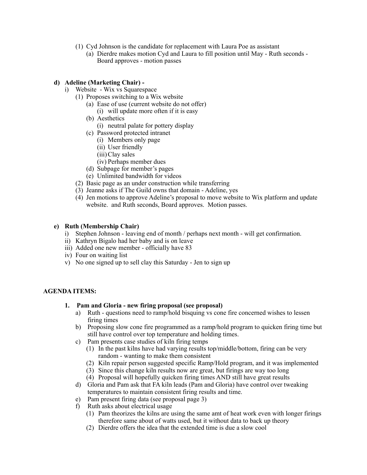- (1) Cyd Johnson is the candidate for replacement with Laura Poe as assistant
	- (a) Dierdre makes motion Cyd and Laura to fill position until May Ruth seconds Board approves - motion passes

### **d) Adeline (Marketing Chair) -**

- i) Website Wix vs Squarespace
	- (1) Proposes switching to a Wix website
		- (a) Ease of use (current website do not offer) (i) will update more often if it is easy
		- (b) Aesthetics
			- (i) neutral palate for pottery display
		- (c) Password protected intranet
			- (i) Members only page
			- (ii) User friendly
			- (iii)Clay sales
			- (iv) Perhaps member dues
		- (d) Subpage for member's pages
		- (e) Unlimited bandwidth for videos
	- (2) Basic page as an under construction while transferring
	- (3) Jeanne asks if The Guild owns that domain Adeline, yes
	- (4) Jen motions to approve Adeline's proposal to move website to Wix platform and update website. and Ruth seconds, Board approves. Motion passes.

## **e) Ruth (Membership Chair)**

- i) Stephen Johnson leaving end of month / perhaps next month will get confirmation.
- ii) Kathryn Bigalo had her baby and is on leave
- iii) Added one new member officially have 83
- iv) Four on waiting list
- v) No one signed up to sell clay this Saturday Jen to sign up

#### **AGENDA ITEMS:**

- **1. Pam and Gloria new firing proposal (see proposal)** 
	- a) Ruth questions need to ramp/hold bisquing vs cone fire concerned wishes to lessen firing times
	- b) Proposing slow cone fire programmed as a ramp/hold program to quicken firing time but still have control over top temperature and holding times.
	- c) Pam presents case studies of kiln firing temps
		- (1) In the past kilns have had varying results top/middle/bottom, firing can be very random - wanting to make them consistent
		- (2) Kiln repair person suggested specific Ramp/Hold program, and it was implemented
		- (3) Since this change kiln results now are great, but firings are way too long
		- (4) Proposal will hopefully quicken firing times AND still have great results
	- d) Gloria and Pam ask that FA kiln leads (Pam and Gloria) have control over tweaking temperatures to maintain consistent firing results and time.
	- e) Pam present firing data (see proposal page 3)
	- f) Ruth asks about electrical usage
		- (1) Pam theorizes the kilns are using the same amt of heat work even with longer firings therefore same about of watts used, but it without data to back up theory
		- (2) Dierdre offers the idea that the extended time is due a slow cool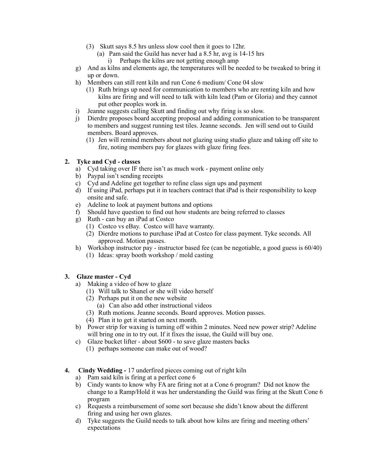- (3) Skutt says 8.5 hrs unless slow cool then it goes to 12hr.
	- (a) Pam said the Guild has never had a 8.5 hr, avg is 14-15 hrs
		- i) Perhaps the kilns are not getting enough amp
- g) And as kilns and elements age, the temperatures will be needed to be tweaked to bring it up or down.
- h) Members can still rent kiln and run Cone 6 medium/ Cone 04 slow
	- (1) Ruth brings up need for communication to members who are renting kiln and how kilns are firing and will need to talk with kiln lead (Pam or Gloria) and they cannot put other peoples work in.
- i) Jeanne suggests calling Skutt and finding out why firing is so slow.
- j) Dierdre proposes board accepting proposal and adding communication to be transparent to members and suggest running test tiles. Jeanne seconds. Jen will send out to Guild members. Board approves.
	- (1) Jen will remind members about not glazing using studio glaze and taking off site to fire, noting members pay for glazes with glaze firing fees.

# **2. Tyke and Cyd - classes**

- a) Cyd taking over IF there isn't as much work payment online only
- b) Paypal isn't sending receipts
- c) Cyd and Adeline get together to refine class sign ups and payment
- d) If using iPad, perhaps put it in teachers contract that iPad is their responsibility to keep onsite and safe.
- e) Adeline to look at payment buttons and options
- f) Should have question to find out how students are being referred to classes
- g) Ruth can buy an iPad at Costco
	- (1) Costco vs eBay. Costco will have warranty.
	- (2) Dierdre motions to purchase iPad at Costco for class payment. Tyke seconds. All approved. Motion passes.
- h) Workshop instructor pay instructor based fee (can be negotiable, a good guess is 60/40) (1) Ideas: spray booth workshop / mold casting

# **3. Glaze master - Cyd**

- a) Making a video of how to glaze
	- (1) Will talk to Shanel or she will video herself
	- (2) Perhaps put it on the new website
		- (a) Can also add other instructional videos
	- (3) Ruth motions. Jeanne seconds. Board approves. Motion passes.
	- (4) Plan it to get it started on next month.
- b) Power strip for waxing is turning off within 2 minutes. Need new power strip? Adeline will bring one in to try out. If it fixes the issue, the Guild will buy one.
- c) Glaze bucket lifter about \$600 to save glaze masters backs
	- (1) perhaps someone can make out of wood?
- **4. Cindy Wedding** 17 underfired pieces coming out of right kiln
	- a) Pam said kiln is firing at a perfect cone 6
	- b) Cindy wants to know why FA are firing not at a Cone 6 program? Did not know the change to a Ramp/Hold it was her understanding the Guild was firing at the Skutt Cone 6 program
	- c) Requests a reimbursement of some sort because she didn't know about the different firing and using her own glazes.
	- d) Tyke suggests the Guild needs to talk about how kilns are firing and meeting others' expectations